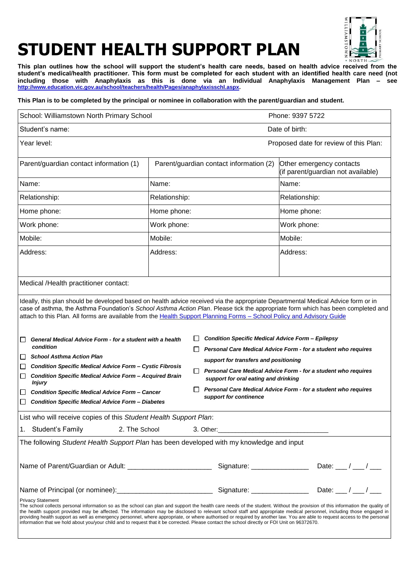

## **STUDENT HEALTH SUPPORT PLAN**

**This plan outlines how the school will support the student's health care needs, based on health advice received from the student's medical/health practitioner. This form must be completed for each student with an identified health care need (not including those with Anaphylaxis as this is done via an Individual Anaphylaxis Management Plan – see [http://www.education.vic.gov.au/school/teachers/health/Pages/anaphylaxisschl.aspx.](http://www.education.vic.gov.au/school/teachers/health/Pages/anaphylaxisschl.aspx)**

## **This Plan is to be completed by the principal or nominee in collaboration with the parent/guardian and student.**

| School: Williamstown North Primary School                                                                                                                                                                                                                                                                                                                                                                                                                                                                                                                                                                                                                                                                         |               |                                                                                          | Phone: 9397 5722                                         |                                                                |  |
|-------------------------------------------------------------------------------------------------------------------------------------------------------------------------------------------------------------------------------------------------------------------------------------------------------------------------------------------------------------------------------------------------------------------------------------------------------------------------------------------------------------------------------------------------------------------------------------------------------------------------------------------------------------------------------------------------------------------|---------------|------------------------------------------------------------------------------------------|----------------------------------------------------------|----------------------------------------------------------------|--|
| Student's name:                                                                                                                                                                                                                                                                                                                                                                                                                                                                                                                                                                                                                                                                                                   |               | Date of birth:                                                                           |                                                          |                                                                |  |
| Year level:                                                                                                                                                                                                                                                                                                                                                                                                                                                                                                                                                                                                                                                                                                       |               |                                                                                          |                                                          | Proposed date for review of this Plan:                         |  |
| Parent/guardian contact information (1)                                                                                                                                                                                                                                                                                                                                                                                                                                                                                                                                                                                                                                                                           |               | Parent/guardian contact information (2)                                                  |                                                          | Other emergency contacts<br>(if parent/guardian not available) |  |
| Name:                                                                                                                                                                                                                                                                                                                                                                                                                                                                                                                                                                                                                                                                                                             | Name:         |                                                                                          |                                                          | Name:                                                          |  |
| Relationship:                                                                                                                                                                                                                                                                                                                                                                                                                                                                                                                                                                                                                                                                                                     | Relationship: |                                                                                          |                                                          | Relationship:                                                  |  |
| Home phone:                                                                                                                                                                                                                                                                                                                                                                                                                                                                                                                                                                                                                                                                                                       |               | Home phone:                                                                              |                                                          | Home phone:                                                    |  |
| Work phone:                                                                                                                                                                                                                                                                                                                                                                                                                                                                                                                                                                                                                                                                                                       | Work phone:   |                                                                                          |                                                          | Work phone:                                                    |  |
| Mobile:                                                                                                                                                                                                                                                                                                                                                                                                                                                                                                                                                                                                                                                                                                           | Mobile:       |                                                                                          |                                                          | Mobile:                                                        |  |
| Address:                                                                                                                                                                                                                                                                                                                                                                                                                                                                                                                                                                                                                                                                                                          | Address:      |                                                                                          |                                                          | Address:                                                       |  |
| Medical /Health practitioner contact:                                                                                                                                                                                                                                                                                                                                                                                                                                                                                                                                                                                                                                                                             |               |                                                                                          |                                                          |                                                                |  |
| case of asthma, the Asthma Foundation's School Asthma Action Plan. Please tick the appropriate form which has been completed and<br>attach to this Plan. All forms are available from the Health Support Planning Forms - School Policy and Advisory Guide<br>General Medical Advice Form - for a student with a health<br>ப<br>condition                                                                                                                                                                                                                                                                                                                                                                         |               |                                                                                          | <b>Condition Specific Medical Advice Form - Epilepsy</b> | Personal Care Medical Advice Form - for a student who requires |  |
| <b>School Asthma Action Plan</b><br>$\Box$<br><b>Condition Specific Medical Advice Form - Cystic Fibrosis</b><br>⊔                                                                                                                                                                                                                                                                                                                                                                                                                                                                                                                                                                                                |               |                                                                                          | support for transfers and positioning                    |                                                                |  |
| $\Box$<br><b>Condition Specific Medical Advice Form - Acquired Brain</b>                                                                                                                                                                                                                                                                                                                                                                                                                                                                                                                                                                                                                                          |               | support for oral eating and drinking                                                     |                                                          | Personal Care Medical Advice Form - for a student who requires |  |
| <b>Injury</b><br><b>Condition Specific Medical Advice Form - Cancer</b><br>□<br><b>Condition Specific Medical Advice Form - Diabetes</b><br>$\Box$                                                                                                                                                                                                                                                                                                                                                                                                                                                                                                                                                                |               | Personal Care Medical Advice Form - for a student who requires<br>support for continence |                                                          |                                                                |  |
| List who will receive copies of this Student Health Support Plan:                                                                                                                                                                                                                                                                                                                                                                                                                                                                                                                                                                                                                                                 |               |                                                                                          |                                                          |                                                                |  |
| 1. Student's Family<br>2. The School                                                                                                                                                                                                                                                                                                                                                                                                                                                                                                                                                                                                                                                                              |               |                                                                                          |                                                          |                                                                |  |
| The following Student Health Support Plan has been developed with my knowledge and input                                                                                                                                                                                                                                                                                                                                                                                                                                                                                                                                                                                                                          |               |                                                                                          |                                                          |                                                                |  |
|                                                                                                                                                                                                                                                                                                                                                                                                                                                                                                                                                                                                                                                                                                                   |               |                                                                                          |                                                          | Date: $\frac{1}{2}$ / $\frac{1}{2}$                            |  |
|                                                                                                                                                                                                                                                                                                                                                                                                                                                                                                                                                                                                                                                                                                                   |               |                                                                                          |                                                          |                                                                |  |
| <b>Privacy Statement</b><br>The school collects personal information so as the school can plan and support the health care needs of the student. Without the provision of this information the quality of<br>the health support provided may be affected. The information may be disclosed to relevant school staff and appropriate medical personnel, including those engaged in<br>providing health support as well as emergency personnel, where appropriate, or where authorised or required by another law. You are able to request access to the personal<br>information that we hold about you/your child and to request that it be corrected. Please contact the school directly or FOI Unit on 96372670. |               |                                                                                          |                                                          |                                                                |  |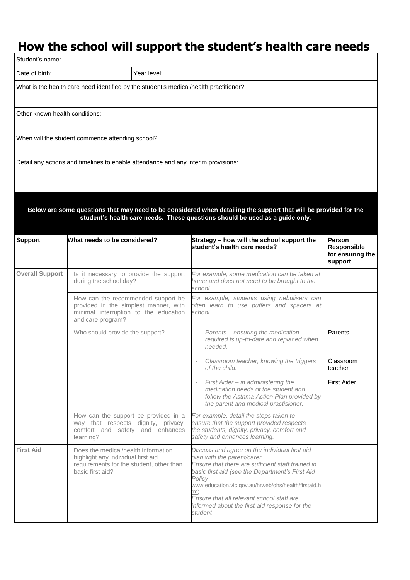## **How the school will support the student's health care needs**

| Student's name:                                                                                                                                                                                  |                                                                                                                                           |                                                                                                                                                                                                                                                                                                                                                                       |                                                             |  |  |  |
|--------------------------------------------------------------------------------------------------------------------------------------------------------------------------------------------------|-------------------------------------------------------------------------------------------------------------------------------------------|-----------------------------------------------------------------------------------------------------------------------------------------------------------------------------------------------------------------------------------------------------------------------------------------------------------------------------------------------------------------------|-------------------------------------------------------------|--|--|--|
| Date of birth:                                                                                                                                                                                   | Year level:                                                                                                                               |                                                                                                                                                                                                                                                                                                                                                                       |                                                             |  |  |  |
| What is the health care need identified by the student's medical/health practitioner?                                                                                                            |                                                                                                                                           |                                                                                                                                                                                                                                                                                                                                                                       |                                                             |  |  |  |
| Other known health conditions:                                                                                                                                                                   |                                                                                                                                           |                                                                                                                                                                                                                                                                                                                                                                       |                                                             |  |  |  |
|                                                                                                                                                                                                  | When will the student commence attending school?                                                                                          |                                                                                                                                                                                                                                                                                                                                                                       |                                                             |  |  |  |
|                                                                                                                                                                                                  | Detail any actions and timelines to enable attendance and any interim provisions:                                                         |                                                                                                                                                                                                                                                                                                                                                                       |                                                             |  |  |  |
| Below are some questions that may need to be considered when detailing the support that will be provided for the<br>student's health care needs. These questions should be used as a guide only. |                                                                                                                                           |                                                                                                                                                                                                                                                                                                                                                                       |                                                             |  |  |  |
| <b>Support</b>                                                                                                                                                                                   | What needs to be considered?                                                                                                              | Strategy – how will the school support the<br>student's health care needs?                                                                                                                                                                                                                                                                                            | Person<br><b>Responsible</b><br>for ensuring the<br>support |  |  |  |
| <b>Overall Support</b>                                                                                                                                                                           | Is it necessary to provide the support<br>during the school day?                                                                          | For example, some medication can be taken at<br>home and does not need to be brought to the<br>school.                                                                                                                                                                                                                                                                |                                                             |  |  |  |
|                                                                                                                                                                                                  | How can the recommended support be<br>provided in the simplest manner, with<br>minimal interruption to the education<br>and care program? | For example, students using nebulisers can<br>often learn to use puffers and spacers at<br>school.                                                                                                                                                                                                                                                                    |                                                             |  |  |  |
|                                                                                                                                                                                                  | Who should provide the support?                                                                                                           | Parents - ensuring the medication<br>required is up-to-date and replaced when<br>needed.                                                                                                                                                                                                                                                                              | Parents                                                     |  |  |  |
|                                                                                                                                                                                                  |                                                                                                                                           | Classroom teacher, knowing the triggers<br>of the child.                                                                                                                                                                                                                                                                                                              | Classroom<br>teacher                                        |  |  |  |
|                                                                                                                                                                                                  |                                                                                                                                           | First Aider - in administering the<br>medication needs of the student and<br>follow the Asthma Action Plan provided by<br>the parent and medical practisioner.                                                                                                                                                                                                        | First Aider                                                 |  |  |  |
|                                                                                                                                                                                                  | How can the support be provided in a<br>way that respects dignity, privacy,<br>comfort and safety and enhances<br>learning?               | For example, detail the steps taken to<br>ensure that the support provided respects<br>the students, dignity, privacy, comfort and<br>safety and enhances learning.                                                                                                                                                                                                   |                                                             |  |  |  |
| <b>First Aid</b>                                                                                                                                                                                 | Does the medical/health information<br>highlight any individual first aid<br>requirements for the student, other than<br>basic first aid? | Discuss and agree on the individual first aid<br>plan with the parent/carer.<br>Ensure that there are sufficient staff trained in<br>basic first aid (see the Department's First Aid<br>Policy<br>www.education.vic.gov.au/hrweb/ohs/health/firstaid.h<br>m)<br>Ensure that all relevant school staff are<br>informed about the first aid response for the<br>student |                                                             |  |  |  |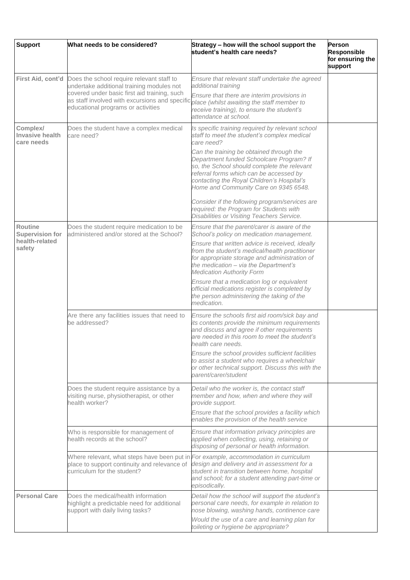| <b>Support</b>                                                       | What needs to be considered?                                                                                                                                                                                                                     | Strategy - how will the school support the<br>student's health care needs?                                                                                                                                                                                            | <b>Person</b><br><b>Responsible</b><br>for ensuring the<br>support |
|----------------------------------------------------------------------|--------------------------------------------------------------------------------------------------------------------------------------------------------------------------------------------------------------------------------------------------|-----------------------------------------------------------------------------------------------------------------------------------------------------------------------------------------------------------------------------------------------------------------------|--------------------------------------------------------------------|
|                                                                      | First Aid, cont'd Does the school require relevant staff to<br>undertake additional training modules not<br>covered under basic first aid training, such<br>as staff involved with excursions and specific<br>educational programs or activities | Ensure that relevant staff undertake the agreed<br>additional training                                                                                                                                                                                                |                                                                    |
|                                                                      |                                                                                                                                                                                                                                                  | Ensure that there are interim provisions in<br>place (whilst awaiting the staff member to<br>receive training), to ensure the student's<br>attendance at school.                                                                                                      |                                                                    |
| Complex/<br><b>Invasive health</b><br>care needs                     | Does the student have a complex medical<br>care need?                                                                                                                                                                                            | Is specific training required by relevant school<br>staff to meet the student's complex medical<br>care need?                                                                                                                                                         |                                                                    |
|                                                                      |                                                                                                                                                                                                                                                  | Can the training be obtained through the<br>Department funded Schoolcare Program? If<br>so, the School should complete the relevant<br>referral forms which can be accessed by<br>contacting the Royal Children's Hospital's<br>Home and Community Care on 9345 6548. |                                                                    |
|                                                                      |                                                                                                                                                                                                                                                  | Consider if the following program/services are<br>required: the Program for Students with<br>Disabilities or Visiting Teachers Service.                                                                                                                               |                                                                    |
| <b>Routine</b><br><b>Supervision for</b><br>health-related<br>safety | Does the student require medication to be<br>administered and/or stored at the School?                                                                                                                                                           | Ensure that the parent/carer is aware of the<br>School's policy on medication management.                                                                                                                                                                             |                                                                    |
|                                                                      |                                                                                                                                                                                                                                                  | Ensure that written advice is received, ideally<br>from the student's medical/health practitioner<br>for appropriate storage and administration of<br>the medication - via the Department's<br><b>Medication Authority Form</b>                                       |                                                                    |
|                                                                      |                                                                                                                                                                                                                                                  | Ensure that a medication log or equivalent<br>official medications register is completed by<br>the person administering the taking of the<br>medication.                                                                                                              |                                                                    |
|                                                                      | Are there any facilities issues that need to<br>be addressed?                                                                                                                                                                                    | Ensure the schools first aid room/sick bay and<br>its contents provide the minimum requirements<br>and discuss and agree if other requirements<br>are needed in this room to meet the student's<br>health care needs.                                                 |                                                                    |
|                                                                      |                                                                                                                                                                                                                                                  | Ensure the school provides sufficient facilities<br>to assist a student who requires a wheelchair<br>or other technical support. Discuss this with the<br>parent/carer/student                                                                                        |                                                                    |
|                                                                      | Does the student require assistance by a<br>visiting nurse, physiotherapist, or other<br>health worker?                                                                                                                                          | Detail who the worker is, the contact staff<br>member and how, when and where they will<br>provide support.<br>Ensure that the school provides a facility which                                                                                                       |                                                                    |
|                                                                      |                                                                                                                                                                                                                                                  | enables the provision of the health service                                                                                                                                                                                                                           |                                                                    |
|                                                                      | Who is responsible for management of<br>health records at the school?                                                                                                                                                                            | Ensure that information privacy principles are<br>applied when collecting, using, retaining or<br>disposing of personal or health information.                                                                                                                        |                                                                    |
|                                                                      | Where relevant, what steps have been put in<br>place to support continuity and relevance of<br>curriculum for the student?                                                                                                                       | For example, accommodation in curriculum<br>design and delivery and in assessment for a<br>student in transition between home, hospital<br>and school; for a student attending part-time or<br>episodically.                                                          |                                                                    |
| <b>Personal Care</b>                                                 | Does the medical/health information<br>highlight a predictable need for additional<br>support with daily living tasks?                                                                                                                           | Detail how the school will support the student's<br>personal care needs, for example in relation to<br>nose blowing, washing hands, continence care                                                                                                                   |                                                                    |
|                                                                      |                                                                                                                                                                                                                                                  | Would the use of a care and learning plan for<br>toileting or hygiene be appropriate?                                                                                                                                                                                 |                                                                    |